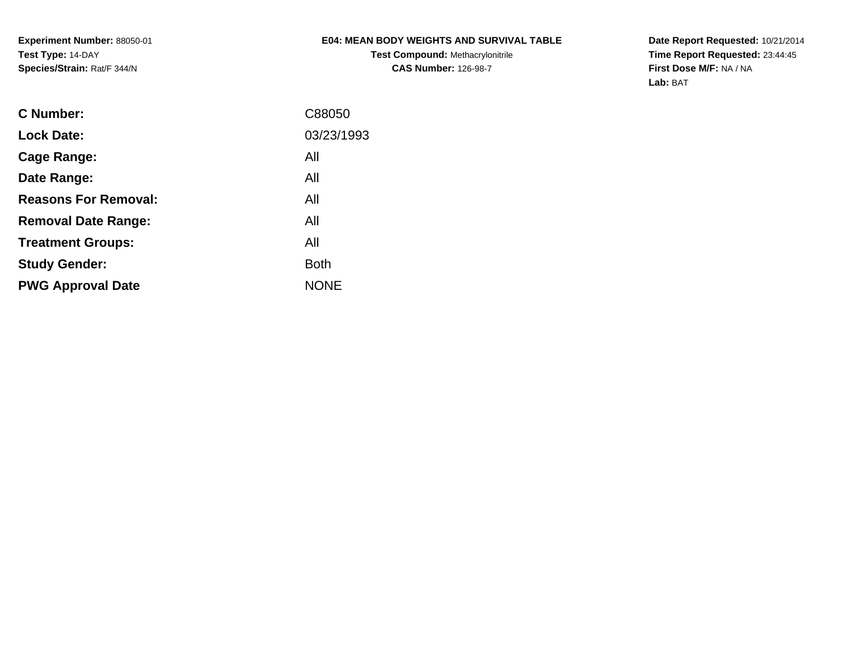## **E04: MEAN BODY WEIGHTS AND SURVIVAL TABLE**

**Test Compound:** Methacrylonitrile**CAS Number:** 126-98-7

**Date Report Requested:** 10/21/2014 **Time Report Requested:** 23:44:45**First Dose M/F:** NA / NA**Lab:** BAT

| C Number:                   | C88050      |
|-----------------------------|-------------|
| <b>Lock Date:</b>           | 03/23/1993  |
| Cage Range:                 | All         |
| Date Range:                 | All         |
| <b>Reasons For Removal:</b> | All         |
| <b>Removal Date Range:</b>  | All         |
| <b>Treatment Groups:</b>    | All         |
| <b>Study Gender:</b>        | <b>Both</b> |
| <b>PWG Approval Date</b>    | <b>NONE</b> |
|                             |             |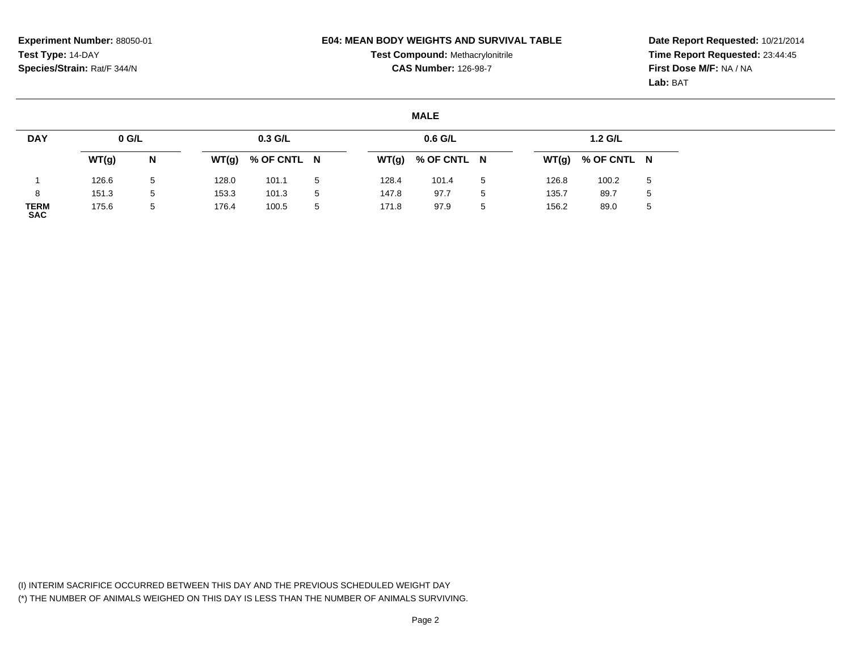### **E04: MEAN BODY WEIGHTS AND SURVIVAL TABLE**

**Test Compound:** Methacrylonitrile**CAS Number:** 126-98-7

**Date Report Requested:** 10/21/2014**Time Report Requested:** 23:44:45**First Dose M/F:** NA / NA**Lab:** BAT

#### **MALE**

| <b>DAY</b>                | $0$ G/L |   |       | $0.3$ G/L           |   |       | $0.6$ G/L           |    |       | 1.2 G/L     |             |
|---------------------------|---------|---|-------|---------------------|---|-------|---------------------|----|-------|-------------|-------------|
|                           | WT(g)   | N |       | $WT(g)$ % OF CNTL N |   |       | $WT(g)$ % OF CNTL N |    | WT(g) | % OF CNTL N |             |
|                           | 126.6   | 5 | 128.0 | 101.1               | 5 | 128.4 | 101.4               | -5 | 126.8 | 100.2       | 5           |
| 8                         | 151.3   | 5 | 153.3 | 101.3               | 5 | 147.8 | 97.7                | 5  | 135.7 | 89.7        | $\mathbf b$ |
| <b>TERM</b><br><b>SAC</b> | 175.6   | 5 | 176.4 | 100.5               | 5 | 171.8 | 97.9                | -5 | 156.2 | 89.0        | $\mathbf b$ |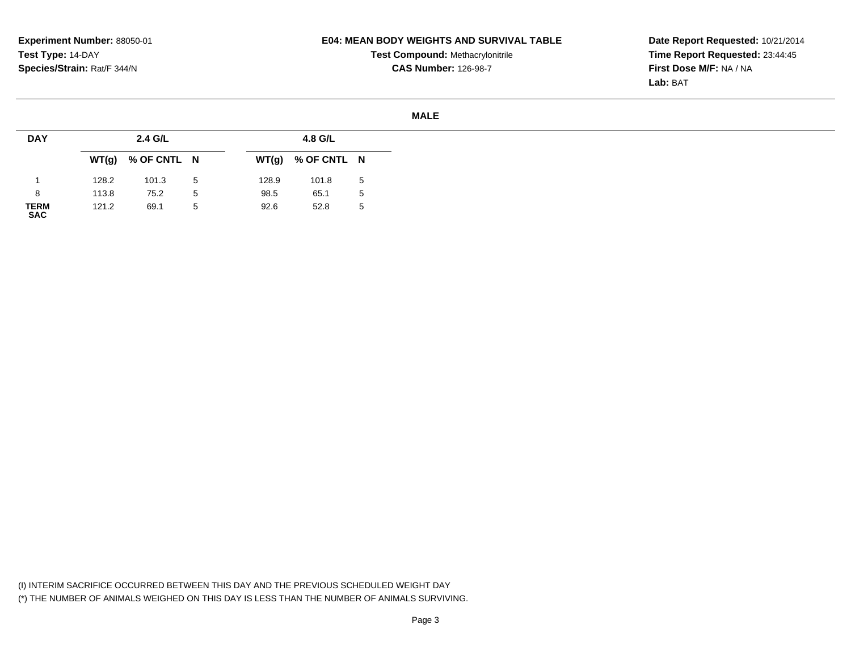### **E04: MEAN BODY WEIGHTS AND SURVIVAL TABLE**

**Test Compound:** Methacrylonitrile**CAS Number:** 126-98-7

**Date Report Requested:** 10/21/2014**Time Report Requested:** 23:44:45**First Dose M/F:** NA / NA**Lab:** BAT

#### **MALE**

| <b>DAY</b>          |       | 2.4 G/L             |   |       | 4.8 G/L             |             |
|---------------------|-------|---------------------|---|-------|---------------------|-------------|
|                     |       | $WT(g)$ % OF CNTL N |   |       | $WT(g)$ % OF CNTL N |             |
|                     | 128.2 | 101.3               | 5 | 128.9 | 101.8               | -5          |
| 8                   | 113.8 | 75.2                | 5 | 98.5  | 65.1                | $5^{\circ}$ |
| <b>TERM<br/>SAC</b> | 121.2 | 69.1                | 5 | 92.6  | 52.8                | 5           |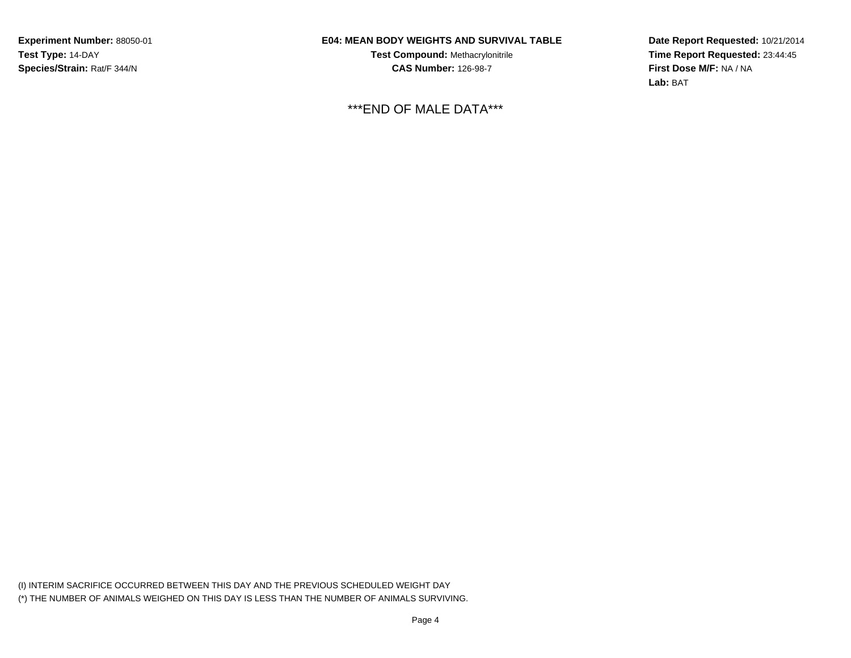## **E04: MEAN BODY WEIGHTS AND SURVIVAL TABLE**

**Test Compound:** Methacrylonitrile**CAS Number:** 126-98-7

\*\*\*END OF MALE DATA\*\*\*

**Date Report Requested:** 10/21/2014**Time Report Requested:** 23:44:45**First Dose M/F:** NA / NA**Lab:** BAT

(I) INTERIM SACRIFICE OCCURRED BETWEEN THIS DAY AND THE PREVIOUS SCHEDULED WEIGHT DAY(\*) THE NUMBER OF ANIMALS WEIGHED ON THIS DAY IS LESS THAN THE NUMBER OF ANIMALS SURVIVING.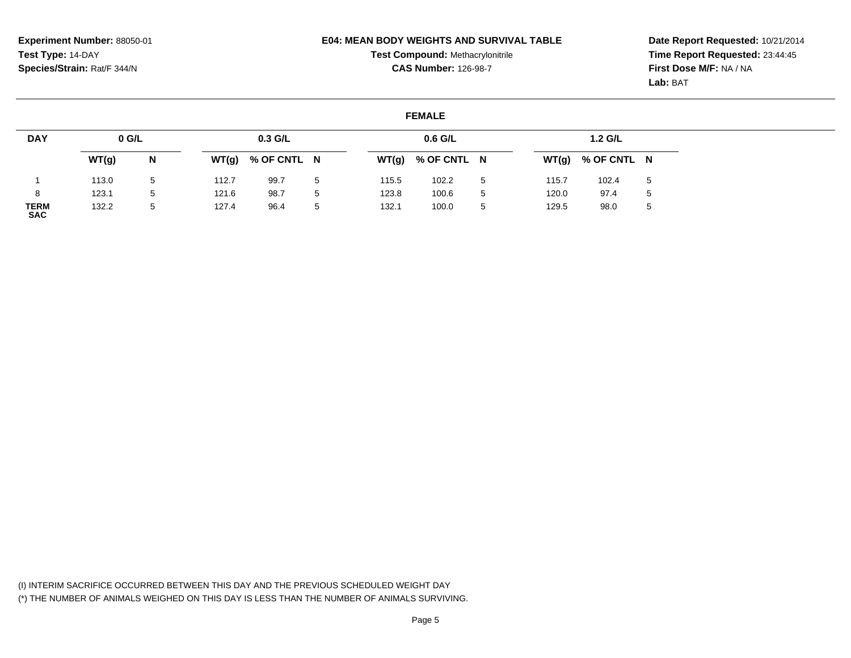#### **E04: MEAN BODY WEIGHTS AND SURVIVAL TABLE**

**Test Compound:** Methacrylonitrile**CAS Number:** 126-98-7

**Date Report Requested:** 10/21/2014**Time Report Requested:** 23:44:45**First Dose M/F:** NA / NA**Lab:** BAT

#### **FEMALE**

| <b>DAY</b>                | $0$ G/L |             |       | $0.3$ G/L   |   |       | $0.6$ G/L   |   |       | 1.2 G/L     |              |
|---------------------------|---------|-------------|-------|-------------|---|-------|-------------|---|-------|-------------|--------------|
|                           | WT(g)   | N           | WT(g) | % OF CNTL N |   | WT(g) | % OF CNTL N |   | WT(g) | % OF CNTL N |              |
|                           | 113.0   | $5^{\circ}$ | 112.7 | 99.7        | 5 | 115.5 | 102.2       | 5 | 115.7 | 102.4       | 5            |
| 8                         | 123.1   | 5           | 121.6 | 98.7        | 5 | 123.8 | 100.6       | 5 | 120.0 | 97.4        | 5            |
| <b>TERM</b><br><b>SAC</b> | 132.2   | 5           | 127.4 | 96.4        | 5 | 132.1 | 100.0       | 5 | 129.5 | 98.0        | <sub>5</sub> |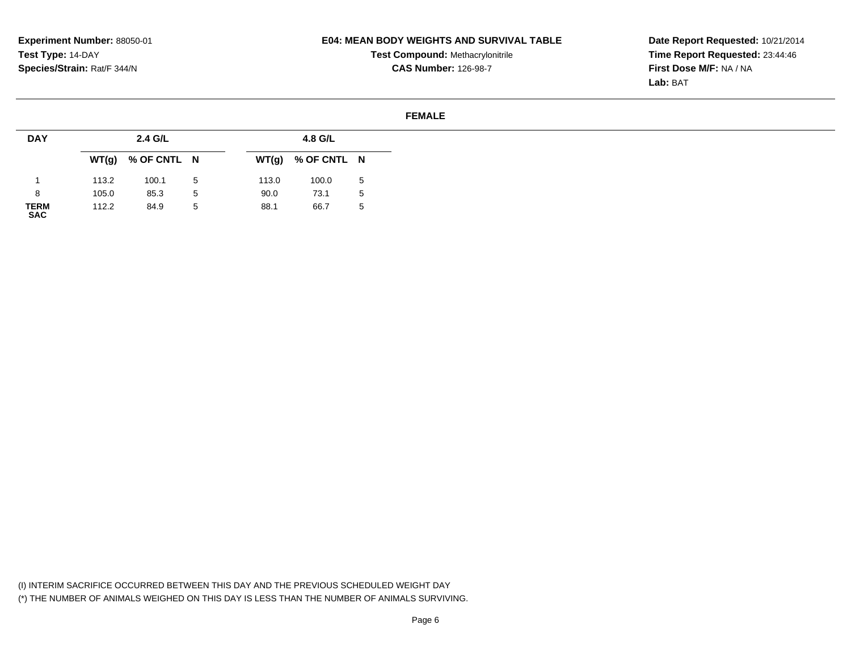**E04: MEAN BODY WEIGHTS AND SURVIVAL TABLE**

**Experiment Number:** 88050-01**Test Type:** 14-DAY**Species/Strain:** Rat/F 344/N

# **Test Compound:** Methacrylonitrile**CAS Number:** 126-98-7

**Date Report Requested:** 10/21/2014**Time Report Requested:** 23:44:46**First Dose M/F:** NA / NA**Lab:** BAT

## **FEMALE**

| <b>DAY</b>          |       | 2.4 G/L             |              |       | 4.8 G/L             |              |
|---------------------|-------|---------------------|--------------|-------|---------------------|--------------|
|                     |       | $WT(g)$ % OF CNTL N |              |       | $WT(g)$ % OF CNTL N |              |
|                     | 113.2 | 100.1               | 5            | 113.0 | 100.0               | 5            |
| 8                   | 105.0 | 85.3                | $\mathbf{p}$ | 90.0  | 73.1                | $\mathbf{p}$ |
| <b>TERM<br/>SAC</b> | 112.2 | 84.9                | 5            | 88.1  | 66.7                | -5           |